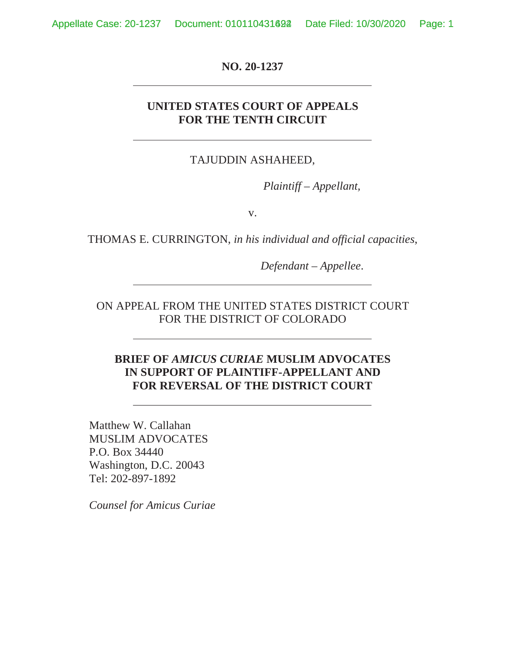Appellate Case: 20-1237 Document: 010110431692 Date Filed: 10/30/2020 Page: 1

**NO. 20-1237** 

## **UNITED STATES COURT OF APPEALS FOR THE TENTH CIRCUIT**

### TAJUDDIN ASHAHEED,

*Plaintiff – Appellant,* 

v.

THOMAS E. CURRINGTON, *in his individual and official capacities*,

*Defendant – Appellee*.

ON APPEAL FROM THE UNITED STATES DISTRICT COURT FOR THE DISTRICT OF COLORADO

## **BRIEF OF** *AMICUS CURIAE* **MUSLIM ADVOCATES IN SUPPORT OF PLAINTIFF-APPELLANT AND FOR REVERSAL OF THE DISTRICT COURT**

 Matthew W. Callahan MUSLIM ADVOCATES P.O. Box 34440 Washington, D.C. 20043 Tel: 202-897-1892

*Counsel for Amicus Curiae*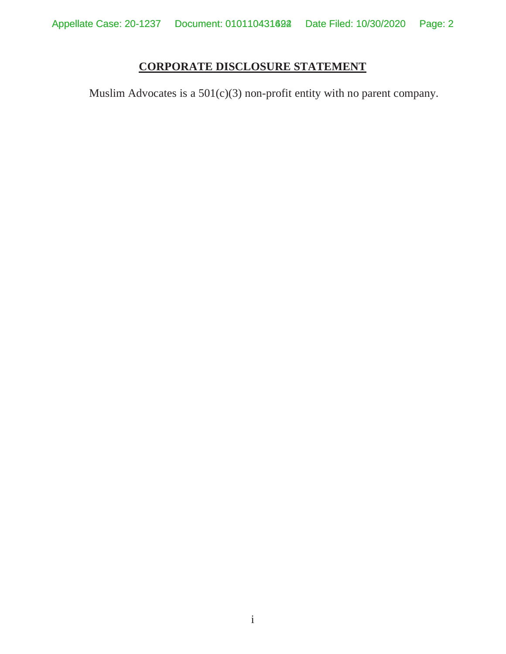## **CORPORATE DISCLOSURE STATEMENT**

Muslim Advocates is a 501(c)(3) non-profit entity with no parent company.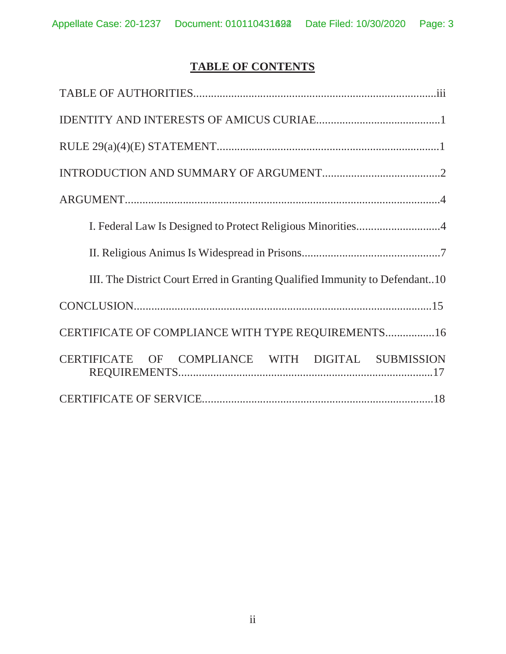# **TABLE OF CONTENTS**

| III. The District Court Erred in Granting Qualified Immunity to Defendant10 |
|-----------------------------------------------------------------------------|
|                                                                             |
| CERTIFICATE OF COMPLIANCE WITH TYPE REQUIREMENTS16                          |
| CERTIFICATE OF COMPLIANCE WITH DIGITAL SUBMISSION                           |
|                                                                             |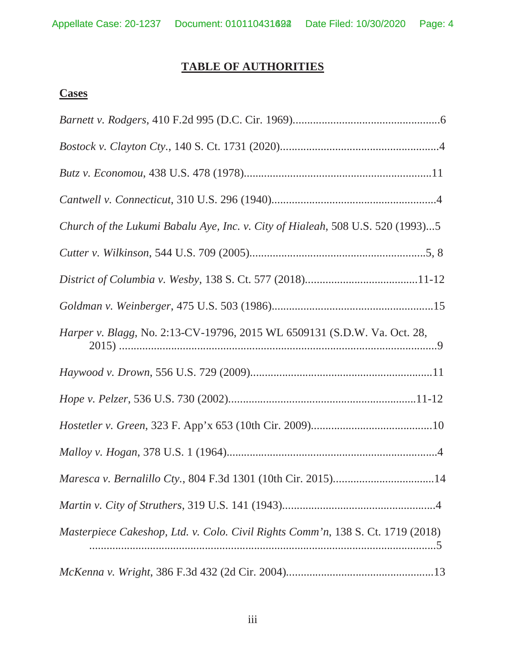## **TABLE OF AUTHORITIES**

# **Cases**

| Church of the Lukumi Babalu Aye, Inc. v. City of Hialeah, 508 U.S. 520 (1993)5  |
|---------------------------------------------------------------------------------|
|                                                                                 |
|                                                                                 |
|                                                                                 |
| Harper v. Blagg, No. 2:13-CV-19796, 2015 WL 6509131 (S.D.W. Va. Oct. 28,        |
|                                                                                 |
|                                                                                 |
|                                                                                 |
|                                                                                 |
|                                                                                 |
|                                                                                 |
| Masterpiece Cakeshop, Ltd. v. Colo. Civil Rights Comm'n, 138 S. Ct. 1719 (2018) |
|                                                                                 |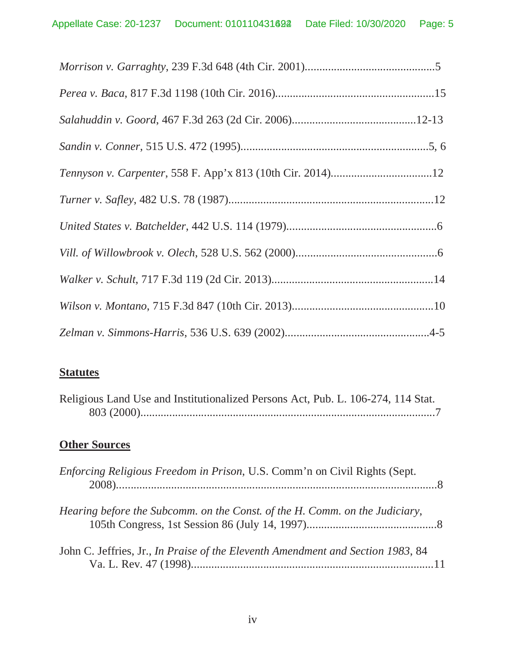## **Statutes**

| Religious Land Use and Institutionalized Persons Act, Pub. L. 106-274, 114 Stat. |  |
|----------------------------------------------------------------------------------|--|
|                                                                                  |  |

# **Other Sources**

| Enforcing Religious Freedom in Prison, U.S. Comm'n on Civil Rights (Sept.               |  |
|-----------------------------------------------------------------------------------------|--|
| Hearing before the Subcomm. on the Const. of the H. Comm. on the Judiciary,             |  |
| John C. Jeffries, Jr., <i>In Praise of the Eleventh Amendment and Section 1983</i> , 84 |  |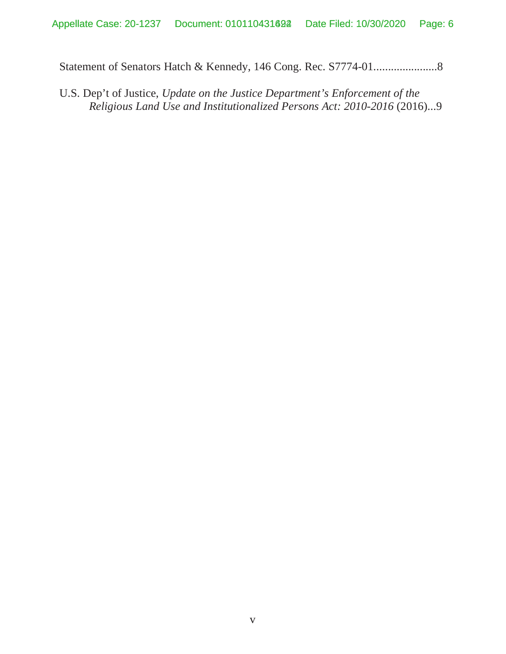Statement of Senators Hatch & Kennedy, 146 Cong. Rec. S7774-01......................8

U.S. Dep't of Justice, *Update on the Justice Department's Enforcement of the Religious Land Use and Institutionalized Persons Act: 2010-2016* (2016)...9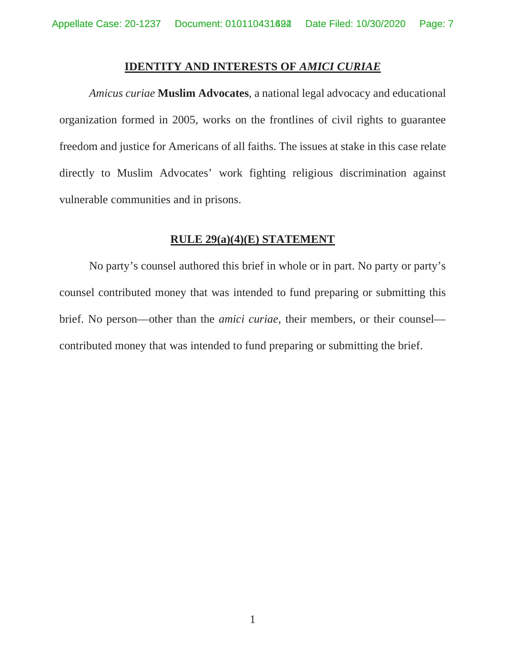### **IDENTITY AND INTERESTS OF** *AMICI CURIAE*

*Amicus curiae* **Muslim Advocates**, a national legal advocacy and educational organization formed in 2005, works on the frontlines of civil rights to guarantee freedom and justice for Americans of all faiths. The issues at stake in this case relate directly to Muslim Advocates' work fighting religious discrimination against vulnerable communities and in prisons.

### **RULE 29(a)(4)(E) STATEMENT**

No party's counsel authored this brief in whole or in part. No party or party's counsel contributed money that was intended to fund preparing or submitting this brief. No person—other than the *amici curiae*, their members, or their counsel contributed money that was intended to fund preparing or submitting the brief.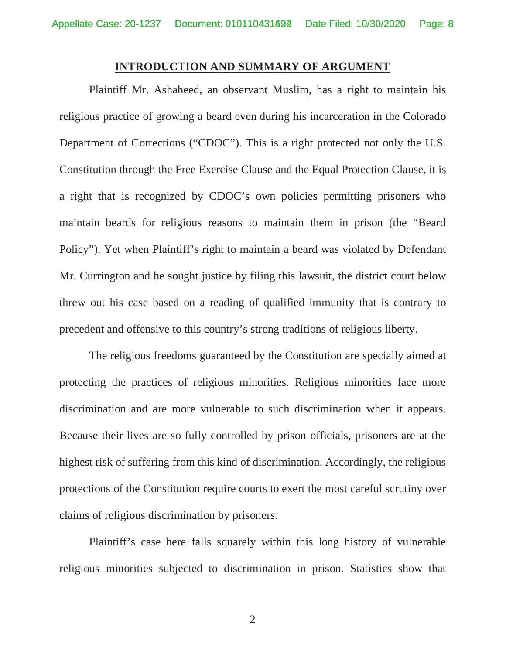### **INTRODUCTION AND SUMMARY OF ARGUMENT**

 Plaintiff Mr. Ashaheed, an observant Muslim, has a right to maintain his religious practice of growing a beard even during his incarceration in the Colorado Department of Corrections ("CDOC"). This is a right protected not only the U.S. Constitution through the Free Exercise Clause and the Equal Protection Clause, it is a right that is recognized by CDOC's own policies permitting prisoners who maintain beards for religious reasons to maintain them in prison (the "Beard Policy"). Yet when Plaintiff's right to maintain a beard was violated by Defendant Mr. Currington and he sought justice by filing this lawsuit, the district court below threw out his case based on a reading of qualified immunity that is contrary to precedent and offensive to this country's strong traditions of religious liberty.

 The religious freedoms guaranteed by the Constitution are specially aimed at protecting the practices of religious minorities. Religious minorities face more discrimination and are more vulnerable to such discrimination when it appears. Because their lives are so fully controlled by prison officials, prisoners are at the highest risk of suffering from this kind of discrimination. Accordingly, the religious protections of the Constitution require courts to exert the most careful scrutiny over claims of religious discrimination by prisoners.

 Plaintiff's case here falls squarely within this long history of vulnerable religious minorities subjected to discrimination in prison. Statistics show that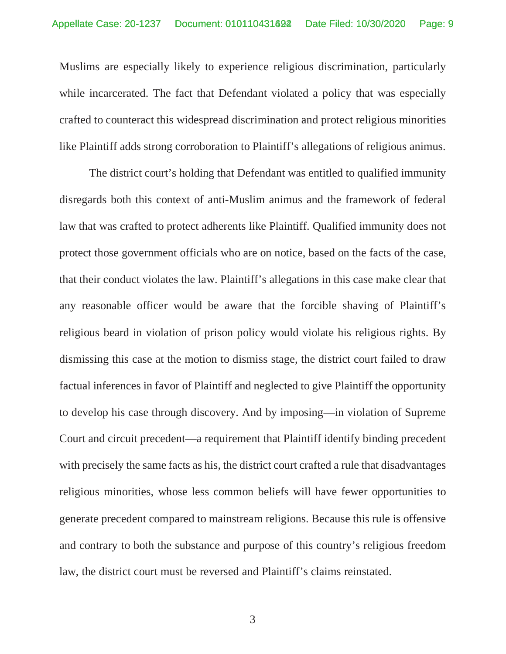Muslims are especially likely to experience religious discrimination, particularly while incarcerated. The fact that Defendant violated a policy that was especially crafted to counteract this widespread discrimination and protect religious minorities like Plaintiff adds strong corroboration to Plaintiff's allegations of religious animus.

 The district court's holding that Defendant was entitled to qualified immunity disregards both this context of anti-Muslim animus and the framework of federal law that was crafted to protect adherents like Plaintiff. Qualified immunity does not protect those government officials who are on notice, based on the facts of the case, that their conduct violates the law. Plaintiff's allegations in this case make clear that any reasonable officer would be aware that the forcible shaving of Plaintiff's religious beard in violation of prison policy would violate his religious rights. By dismissing this case at the motion to dismiss stage, the district court failed to draw factual inferences in favor of Plaintiff and neglected to give Plaintiff the opportunity to develop his case through discovery. And by imposing—in violation of Supreme Court and circuit precedent—a requirement that Plaintiff identify binding precedent with precisely the same facts as his, the district court crafted a rule that disadvantages religious minorities, whose less common beliefs will have fewer opportunities to generate precedent compared to mainstream religions. Because this rule is offensive and contrary to both the substance and purpose of this country's religious freedom law, the district court must be reversed and Plaintiff's claims reinstated.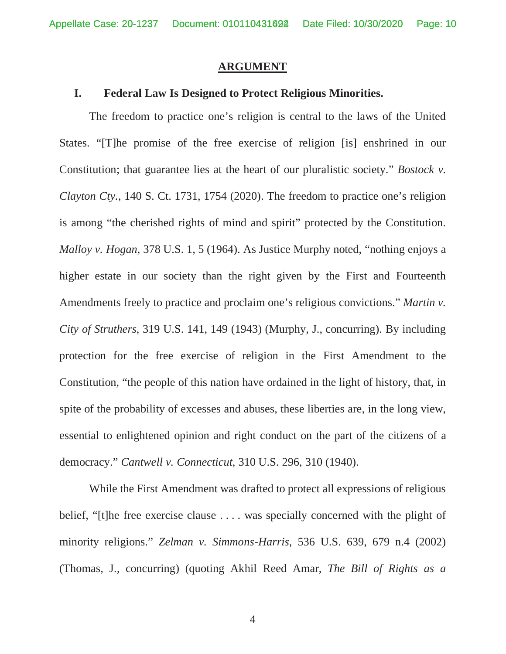#### **ARGUMENT**

### **I. Federal Law Is Designed to Protect Religious Minorities.**

 The freedom to practice one's religion is central to the laws of the United States. "[T]he promise of the free exercise of religion [is] enshrined in our Constitution; that guarantee lies at the heart of our pluralistic society." *Bostock v. Clayton Cty.*, 140 S. Ct. 1731, 1754 (2020). The freedom to practice one's religion is among "the cherished rights of mind and spirit" protected by the Constitution. *Malloy v. Hogan*, 378 U.S. 1, 5 (1964). As Justice Murphy noted, "nothing enjoys a higher estate in our society than the right given by the First and Fourteenth Amendments freely to practice and proclaim one's religious convictions." *Martin v. City of Struthers*, 319 U.S. 141, 149 (1943) (Murphy, J., concurring). By including protection for the free exercise of religion in the First Amendment to the Constitution, "the people of this nation have ordained in the light of history, that, in spite of the probability of excesses and abuses, these liberties are, in the long view, essential to enlightened opinion and right conduct on the part of the citizens of a democracy." *Cantwell v. Connecticut*, 310 U.S. 296, 310 (1940).

 While the First Amendment was drafted to protect all expressions of religious belief, "[t]he free exercise clause . . . . was specially concerned with the plight of minority religions." *Zelman v. Simmons-Harris*, 536 U.S. 639, 679 n.4 (2002) (Thomas, J., concurring) (quoting Akhil Reed Amar, *The Bill of Rights as a*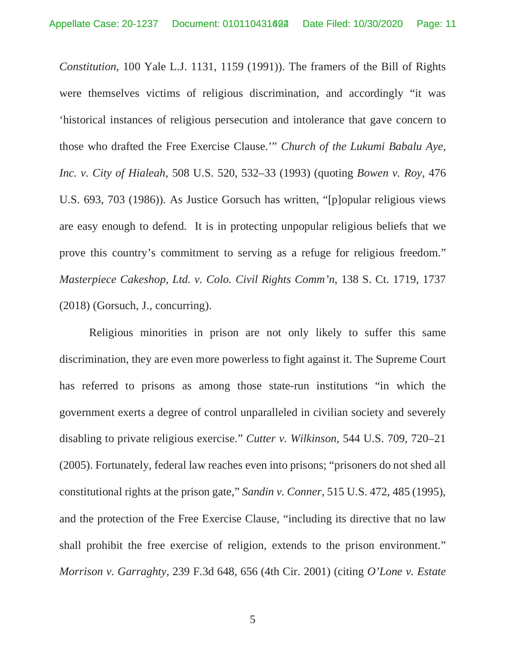*Constitution*, 100 Yale L.J. 1131, 1159 (1991)). The framers of the Bill of Rights were themselves victims of religious discrimination, and accordingly "it was 'historical instances of religious persecution and intolerance that gave concern to those who drafted the Free Exercise Clause.'" *Church of the Lukumi Babalu Aye, Inc. v. City of Hialeah*, 508 U.S. 520, 532–33 (1993) (quoting *Bowen v. Roy,* 476 U.S. 693, 703 (1986)). As Justice Gorsuch has written, "[p]opular religious views are easy enough to defend. It is in protecting unpopular religious beliefs that we prove this country's commitment to serving as a refuge for religious freedom." *Masterpiece Cakeshop, Ltd. v. Colo. Civil Rights Comm'n*, 138 S. Ct. 1719, 1737 (2018) (Gorsuch, J., concurring).

 Religious minorities in prison are not only likely to suffer this same discrimination, they are even more powerless to fight against it. The Supreme Court has referred to prisons as among those state-run institutions "in which the government exerts a degree of control unparalleled in civilian society and severely disabling to private religious exercise." *Cutter v. Wilkinson*, 544 U.S. 709, 720–21 (2005). Fortunately, federal law reaches even into prisons; "prisoners do not shed all constitutional rights at the prison gate," *Sandin v. Conner*, 515 U.S. 472, 485 (1995), and the protection of the Free Exercise Clause, "including its directive that no law shall prohibit the free exercise of religion, extends to the prison environment." *Morrison v. Garraghty*, 239 F.3d 648, 656 (4th Cir. 2001) (citing *O'Lone v. Estate*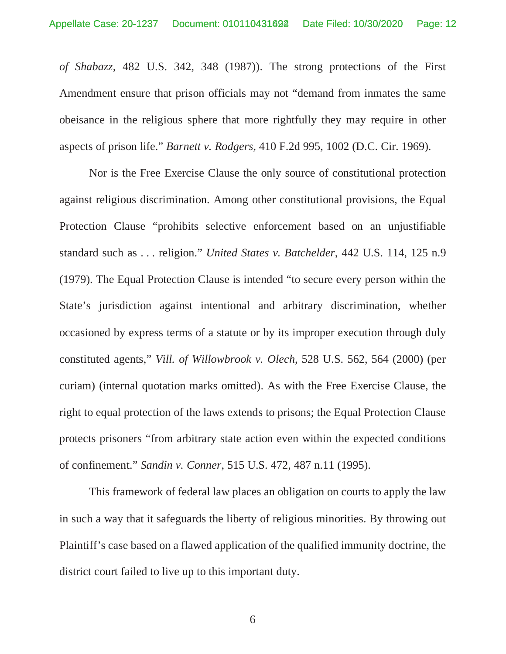*of Shabazz,* 482 U.S. 342, 348 (1987)). The strong protections of the First Amendment ensure that prison officials may not "demand from inmates the same obeisance in the religious sphere that more rightfully they may require in other aspects of prison life." *Barnett v. Rodgers*, 410 F.2d 995, 1002 (D.C. Cir. 1969).

 Nor is the Free Exercise Clause the only source of constitutional protection against religious discrimination. Among other constitutional provisions, the Equal Protection Clause "prohibits selective enforcement based on an unjustifiable standard such as . . . religion." *United States v. Batchelder*, 442 U.S. 114, 125 n.9 (1979). The Equal Protection Clause is intended "to secure every person within the State's jurisdiction against intentional and arbitrary discrimination, whether occasioned by express terms of a statute or by its improper execution through duly constituted agents," *Vill. of Willowbrook v. Olech*, 528 U.S. 562, 564 (2000) (per curiam) (internal quotation marks omitted). As with the Free Exercise Clause, the right to equal protection of the laws extends to prisons; the Equal Protection Clause protects prisoners "from arbitrary state action even within the expected conditions of confinement." *Sandin v. Conner*, 515 U.S. 472, 487 n.11 (1995).

 This framework of federal law places an obligation on courts to apply the law in such a way that it safeguards the liberty of religious minorities. By throwing out Plaintiff's case based on a flawed application of the qualified immunity doctrine, the district court failed to live up to this important duty.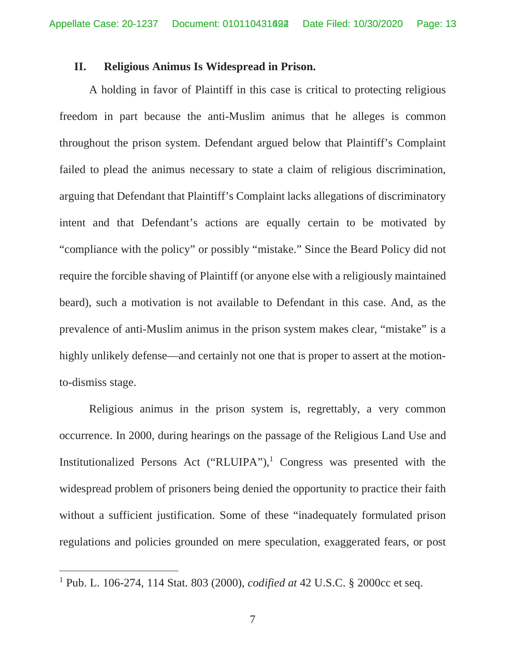### **II. Religious Animus Is Widespread in Prison.**

 A holding in favor of Plaintiff in this case is critical to protecting religious freedom in part because the anti-Muslim animus that he alleges is common throughout the prison system. Defendant argued below that Plaintiff's Complaint failed to plead the animus necessary to state a claim of religious discrimination, arguing that Defendant that Plaintiff's Complaint lacks allegations of discriminatory intent and that Defendant's actions are equally certain to be motivated by "compliance with the policy" or possibly "mistake." Since the Beard Policy did not require the forcible shaving of Plaintiff (or anyone else with a religiously maintained beard), such a motivation is not available to Defendant in this case. And, as the prevalence of anti-Muslim animus in the prison system makes clear, "mistake" is a highly unlikely defense—and certainly not one that is proper to assert at the motionto-dismiss stage.

 Religious animus in the prison system is, regrettably, a very common occurrence. In 2000, during hearings on the passage of the Religious Land Use and Institutionalized Persons Act ("RLUIPA"),<sup>1</sup> Congress was presented with the widespread problem of prisoners being denied the opportunity to practice their faith without a sufficient justification. Some of these "inadequately formulated prison regulations and policies grounded on mere speculation, exaggerated fears, or post

<sup>1</sup> Pub. L. 106-274, 114 Stat. 803 (2000), *codified at* 42 U.S.C. § 2000cc et seq.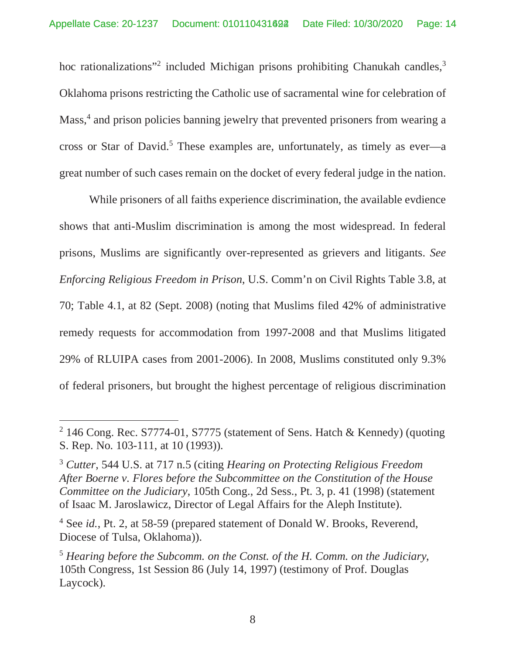hoc rationalizations"<sup>2</sup> included Michigan prisons prohibiting Chanukah candles,<sup>3</sup> Oklahoma prisons restricting the Catholic use of sacramental wine for celebration of Mass,<sup>4</sup> and prison policies banning jewelry that prevented prisoners from wearing a cross or Star of David.<sup>5</sup> These examples are, unfortunately, as timely as ever—a great number of such cases remain on the docket of every federal judge in the nation.

 While prisoners of all faiths experience discrimination, the available evdience shows that anti-Muslim discrimination is among the most widespread. In federal prisons, Muslims are significantly over-represented as grievers and litigants. *See Enforcing Religious Freedom in Prison*, U.S. Comm'n on Civil Rights Table 3.8, at 70; Table 4.1, at 82 (Sept. 2008) (noting that Muslims filed 42% of administrative remedy requests for accommodation from 1997-2008 and that Muslims litigated 29% of RLUIPA cases from 2001-2006). In 2008, Muslims constituted only 9.3% of federal prisoners, but brought the highest percentage of religious discrimination

<sup>&</sup>lt;sup>2</sup> 146 Cong. Rec. S7774-01, S7775 (statement of Sens. Hatch & Kennedy) (quoting S. Rep. No. 103-111, at 10 (1993)).

<sup>3</sup> *Cutter*, 544 U.S. at 717 n.5 (citing *Hearing on Protecting Religious Freedom After Boerne v. Flores before the Subcommittee on the Constitution of the House Committee on the Judiciary*, 105th Cong., 2d Sess., Pt. 3, p. 41 (1998) (statement of Isaac M. Jaroslawicz, Director of Legal Affairs for the Aleph Institute).

<sup>&</sup>lt;sup>4</sup> See *id.*, Pt. 2, at 58-59 (prepared statement of Donald W. Brooks, Reverend, Diocese of Tulsa, Oklahoma)).

<sup>5</sup> *Hearing before the Subcomm. on the Const. of the H. Comm. on the Judiciary*, 105th Congress, 1st Session 86 (July 14, 1997) (testimony of Prof. Douglas Laycock).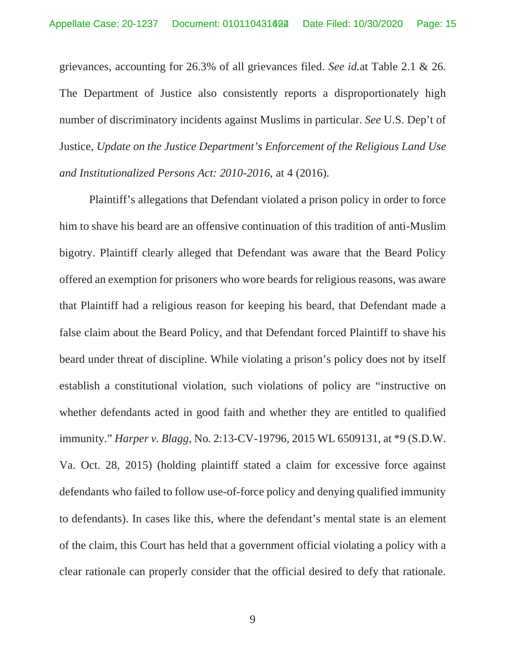grievances, accounting for 26.3% of all grievances filed. *See id.*at Table 2.1 & 26. The Department of Justice also consistently reports a disproportionately high number of discriminatory incidents against Muslims in particular. *See* U.S. Dep't of Justice, *Update on the Justice Department's Enforcement of the Religious Land Use and Institutionalized Persons Act: 2010-2016*, at 4 (2016).

 Plaintiff's allegations that Defendant violated a prison policy in order to force him to shave his beard are an offensive continuation of this tradition of anti-Muslim bigotry. Plaintiff clearly alleged that Defendant was aware that the Beard Policy offered an exemption for prisoners who wore beards for religious reasons, was aware that Plaintiff had a religious reason for keeping his beard, that Defendant made a false claim about the Beard Policy, and that Defendant forced Plaintiff to shave his beard under threat of discipline. While violating a prison's policy does not by itself establish a constitutional violation, such violations of policy are "instructive on whether defendants acted in good faith and whether they are entitled to qualified immunity." *Harper v. Blagg*, No. 2:13-CV-19796, 2015 WL 6509131, at \*9 (S.D.W. Va. Oct. 28, 2015) (holding plaintiff stated a claim for excessive force against defendants who failed to follow use-of-force policy and denying qualified immunity to defendants). In cases like this, where the defendant's mental state is an element of the claim, this Court has held that a government official violating a policy with a clear rationale can properly consider that the official desired to defy that rationale.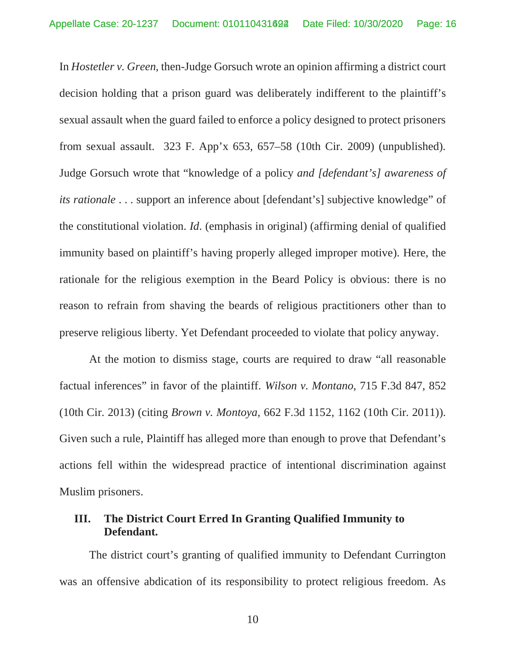In *Hostetler v. Green*, then-Judge Gorsuch wrote an opinion affirming a district court decision holding that a prison guard was deliberately indifferent to the plaintiff's sexual assault when the guard failed to enforce a policy designed to protect prisoners from sexual assault. 323 F. App'x 653, 657–58 (10th Cir. 2009) (unpublished). Judge Gorsuch wrote that "knowledge of a policy *and [defendant's] awareness of its rationale* . . . support an inference about [defendant's] subjective knowledge" of the constitutional violation. *Id*. (emphasis in original) (affirming denial of qualified immunity based on plaintiff's having properly alleged improper motive). Here, the rationale for the religious exemption in the Beard Policy is obvious: there is no reason to refrain from shaving the beards of religious practitioners other than to preserve religious liberty. Yet Defendant proceeded to violate that policy anyway.

 At the motion to dismiss stage, courts are required to draw "all reasonable factual inferences" in favor of the plaintiff. *Wilson v. Montano*, 715 F.3d 847, 852 (10th Cir. 2013) (citing *Brown v. Montoya,* 662 F.3d 1152, 1162 (10th Cir. 2011)). Given such a rule, Plaintiff has alleged more than enough to prove that Defendant's actions fell within the widespread practice of intentional discrimination against Muslim prisoners.

## **III. The District Court Erred In Granting Qualified Immunity to Defendant.**

 The district court's granting of qualified immunity to Defendant Currington was an offensive abdication of its responsibility to protect religious freedom. As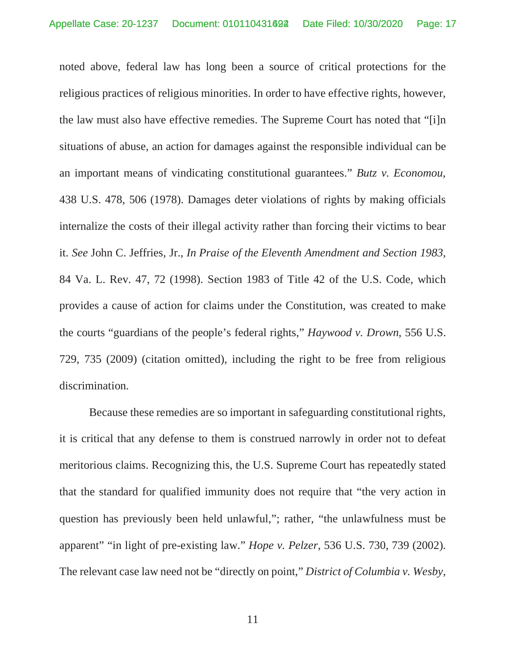noted above, federal law has long been a source of critical protections for the religious practices of religious minorities. In order to have effective rights, however, the law must also have effective remedies. The Supreme Court has noted that "[i]n situations of abuse, an action for damages against the responsible individual can be an important means of vindicating constitutional guarantees." *Butz v. Economou*, 438 U.S. 478, 506 (1978). Damages deter violations of rights by making officials internalize the costs of their illegal activity rather than forcing their victims to bear it. *See* John C. Jeffries, Jr., *In Praise of the Eleventh Amendment and Section 1983*, 84 Va. L. Rev. 47, 72 (1998). Section 1983 of Title 42 of the U.S. Code, which provides a cause of action for claims under the Constitution, was created to make the courts "guardians of the people's federal rights," *Haywood v. Drown*, 556 U.S. 729, 735 (2009) (citation omitted), including the right to be free from religious discrimination.

 Because these remedies are so important in safeguarding constitutional rights, it is critical that any defense to them is construed narrowly in order not to defeat meritorious claims. Recognizing this, the U.S. Supreme Court has repeatedly stated that the standard for qualified immunity does not require that "the very action in question has previously been held unlawful,"; rather, "the unlawfulness must be apparent" "in light of pre-existing law." *Hope v. Pelzer*, 536 U.S. 730, 739 (2002). The relevant case law need not be "directly on point," *District of Columbia v. Wesby*,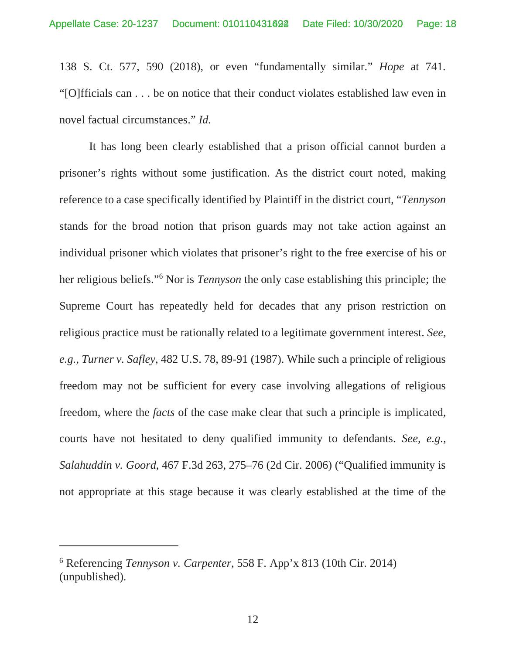138 S. Ct. 577, 590 (2018), or even "fundamentally similar." *Hope* at 741. "[O]fficials can . . . be on notice that their conduct violates established law even in novel factual circumstances." *Id.*

 It has long been clearly established that a prison official cannot burden a prisoner's rights without some justification. As the district court noted, making reference to a case specifically identified by Plaintiff in the district court, "*Tennyson* stands for the broad notion that prison guards may not take action against an individual prisoner which violates that prisoner's right to the free exercise of his or her religious beliefs."6 Nor is *Tennyson* the only case establishing this principle; the Supreme Court has repeatedly held for decades that any prison restriction on religious practice must be rationally related to a legitimate government interest. *See, e.g., Turner v. Safley*, 482 U.S. 78, 89-91 (1987). While such a principle of religious freedom may not be sufficient for every case involving allegations of religious freedom, where the *facts* of the case make clear that such a principle is implicated, courts have not hesitated to deny qualified immunity to defendants. *See, e.g., Salahuddin v. Goord*, 467 F.3d 263, 275–76 (2d Cir. 2006) ("Qualified immunity is not appropriate at this stage because it was clearly established at the time of the

<sup>6</sup> Referencing *Tennyson v. Carpenter*, 558 F. App'x 813 (10th Cir. 2014) (unpublished).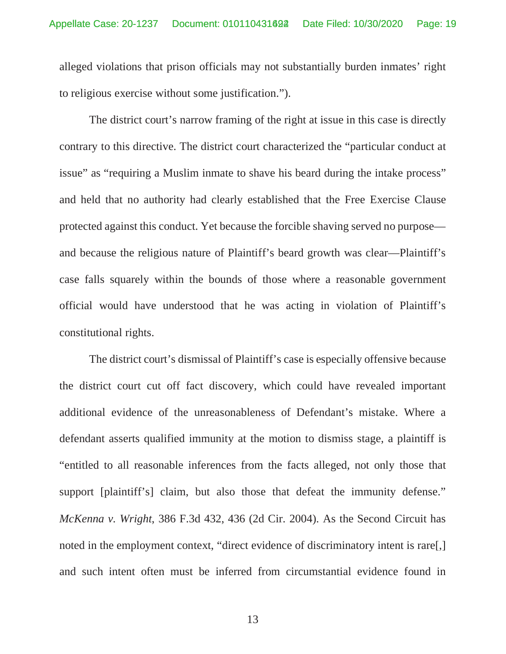alleged violations that prison officials may not substantially burden inmates' right to religious exercise without some justification.").

 The district court's narrow framing of the right at issue in this case is directly contrary to this directive. The district court characterized the "particular conduct at issue" as "requiring a Muslim inmate to shave his beard during the intake process" and held that no authority had clearly established that the Free Exercise Clause protected against this conduct. Yet because the forcible shaving served no purpose and because the religious nature of Plaintiff's beard growth was clear—Plaintiff's case falls squarely within the bounds of those where a reasonable government official would have understood that he was acting in violation of Plaintiff's constitutional rights.

 The district court's dismissal of Plaintiff's case is especially offensive because the district court cut off fact discovery, which could have revealed important additional evidence of the unreasonableness of Defendant's mistake. Where a defendant asserts qualified immunity at the motion to dismiss stage, a plaintiff is "entitled to all reasonable inferences from the facts alleged, not only those that support [plaintiff's] claim, but also those that defeat the immunity defense." *McKenna v. Wright*, 386 F.3d 432, 436 (2d Cir. 2004). As the Second Circuit has noted in the employment context, "direct evidence of discriminatory intent is rare[,] and such intent often must be inferred from circumstantial evidence found in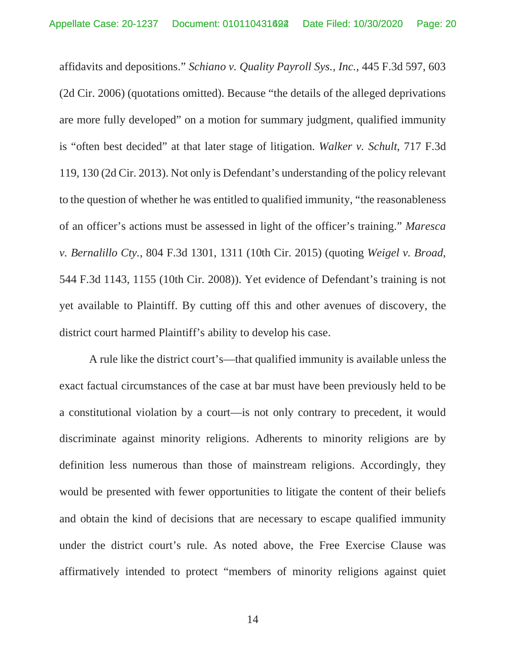affidavits and depositions." *Schiano v. Quality Payroll Sys., Inc.*, 445 F.3d 597, 603 (2d Cir. 2006) (quotations omitted). Because "the details of the alleged deprivations are more fully developed" on a motion for summary judgment, qualified immunity is "often best decided" at that later stage of litigation. *Walker v. Schult*, 717 F.3d 119, 130 (2d Cir. 2013). Not only is Defendant's understanding of the policy relevant to the question of whether he was entitled to qualified immunity, "the reasonableness of an officer's actions must be assessed in light of the officer's training." *Maresca v. Bernalillo Cty.*, 804 F.3d 1301, 1311 (10th Cir. 2015) (quoting *Weigel v. Broad,* 544 F.3d 1143, 1155 (10th Cir. 2008)). Yet evidence of Defendant's training is not yet available to Plaintiff. By cutting off this and other avenues of discovery, the district court harmed Plaintiff's ability to develop his case.

 A rule like the district court's—that qualified immunity is available unless the exact factual circumstances of the case at bar must have been previously held to be a constitutional violation by a court—is not only contrary to precedent, it would discriminate against minority religions. Adherents to minority religions are by definition less numerous than those of mainstream religions. Accordingly, they would be presented with fewer opportunities to litigate the content of their beliefs and obtain the kind of decisions that are necessary to escape qualified immunity under the district court's rule. As noted above, the Free Exercise Clause was affirmatively intended to protect "members of minority religions against quiet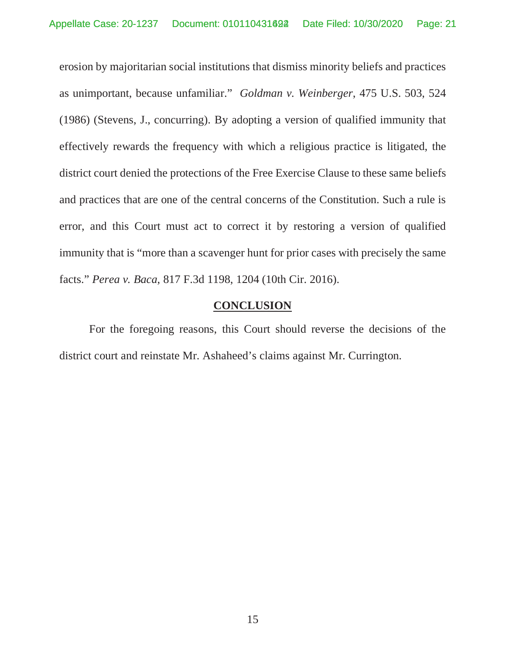erosion by majoritarian social institutions that dismiss minority beliefs and practices as unimportant, because unfamiliar." *Goldman v. Weinberger*, 475 U.S. 503, 524 (1986) (Stevens, J., concurring). By adopting a version of qualified immunity that effectively rewards the frequency with which a religious practice is litigated, the district court denied the protections of the Free Exercise Clause to these same beliefs and practices that are one of the central concerns of the Constitution. Such a rule is error, and this Court must act to correct it by restoring a version of qualified immunity that is "more than a scavenger hunt for prior cases with precisely the same facts." *Perea v. Baca*, 817 F.3d 1198, 1204 (10th Cir. 2016).

## **CONCLUSION**

 For the foregoing reasons, this Court should reverse the decisions of the district court and reinstate Mr. Ashaheed's claims against Mr. Currington.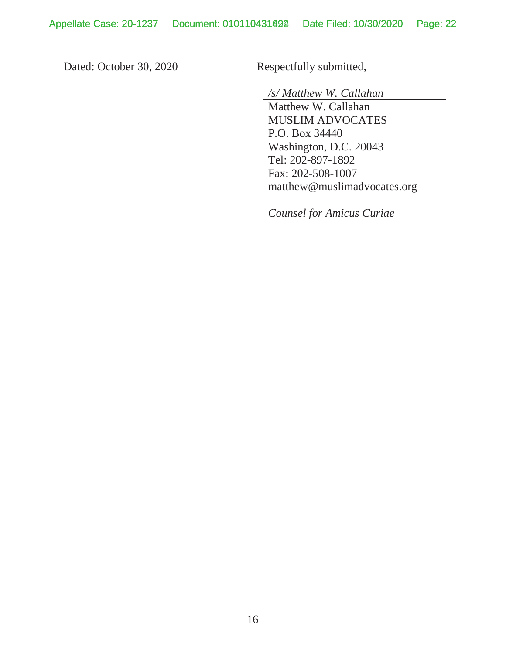Dated: October 30, 2020 Respectfully submitted,

*/s/ Matthew W. Callahan* 

Matthew W. Callahan MUSLIM ADVOCATES P.O. Box 34440 Washington, D.C. 20043 Tel: 202-897-1892 Fax: 202-508-1007 matthew@muslimadvocates.org

*Counsel for Amicus Curiae*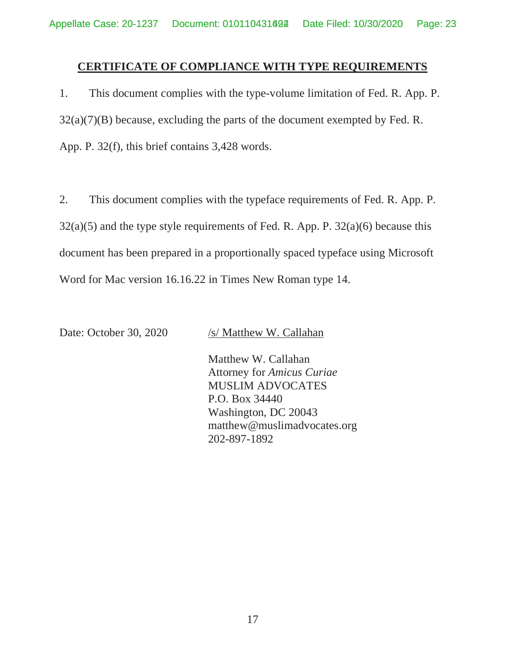## **CERTIFICATE OF COMPLIANCE WITH TYPE REQUIREMENTS**

1. This document complies with the type-volume limitation of Fed. R. App. P.  $32(a)(7)(B)$  because, excluding the parts of the document exempted by Fed. R. App. P. 32(f), this brief contains 3,428 words.

2. This document complies with the typeface requirements of Fed. R. App. P.  $32(a)(5)$  and the type style requirements of Fed. R. App. P.  $32(a)(6)$  because this document has been prepared in a proportionally spaced typeface using Microsoft Word for Mac version 16.16.22 in Times New Roman type 14.

Date: October 30, 2020 /s/ Matthew W. Callahan

 Matthew W. Callahan Attorney for *Amicus Curiae* MUSLIM ADVOCATES P.O. Box 34440 Washington, DC 20043 matthew@muslimadvocates.org 202-897-1892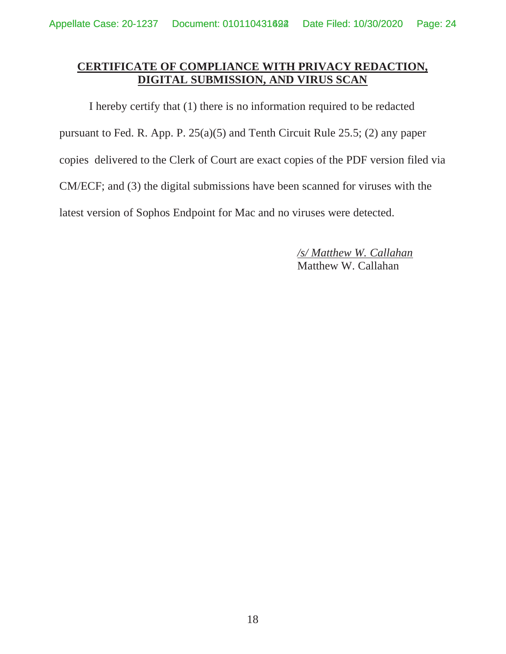## **CERTIFICATE OF COMPLIANCE WITH PRIVACY REDACTION, DIGITAL SUBMISSION, AND VIRUS SCAN**

 I hereby certify that (1) there is no information required to be redacted pursuant to Fed. R. App. P. 25(a)(5) and Tenth Circuit Rule 25.5; (2) any paper copies delivered to the Clerk of Court are exact copies of the PDF version filed via CM/ECF; and (3) the digital submissions have been scanned for viruses with the latest version of Sophos Endpoint for Mac and no viruses were detected.

> */s/ Matthew W. Callahan*  Matthew W. Callahan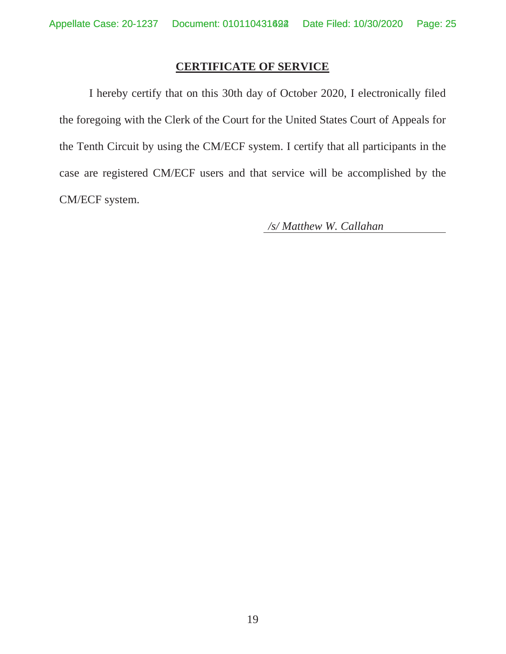### **CERTIFICATE OF SERVICE**

 I hereby certify that on this 30th day of October 2020, I electronically filed the foregoing with the Clerk of the Court for the United States Court of Appeals for the Tenth Circuit by using the CM/ECF system. I certify that all participants in the case are registered CM/ECF users and that service will be accomplished by the CM/ECF system.

*/s/ Matthew W. Callahan*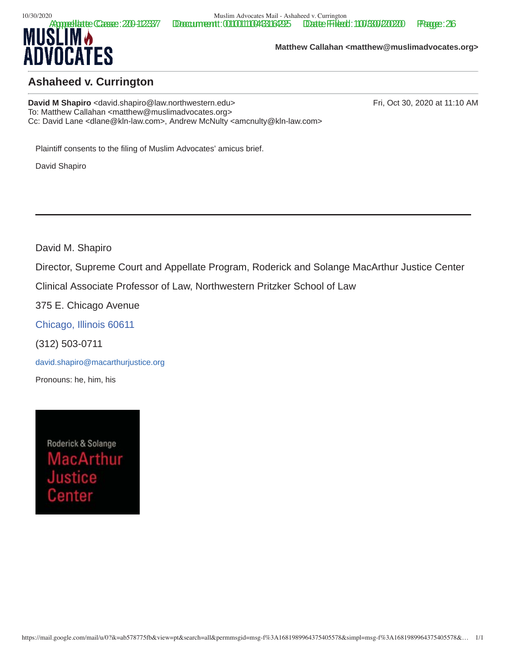10/30/2020<br>**Appresidente Cassee: 200-123377** Doccurreentt: 0010011100483164295 Dente Filesti: 1100/3300/200200



**Matthew Callahan <matthew@muslimadvocates.org>**

## **Ashaheed v. Currington**

**David M Shapiro** <david.shapiro @law.northwestern.edu> Fri, Oct 30, 2020 at 11:10 AM To: Matthew Callahan <matthew@muslimadvocates.org> Cc: David Lane <dlane@kln-law.com>, Andrew McNulty <amcnulty@kln-law.com>

Plaintiff consents to the filing of Muslim Advocates' amicus brief.

David Shapiro

David M. Shapiro

Director, Supreme Court and Appellate Program, Roderick and Solange MacArthur Justice Center

Clinical Associate Professor of Law, Northwestern Pritzker School of Law

375 E. Chicago Avenue

Chicago, Illinois 60611

(312) 503-0711

david.shapiro@macarthurjustice.org

Pronouns: he, him, his

Roderick & Solange lacArthur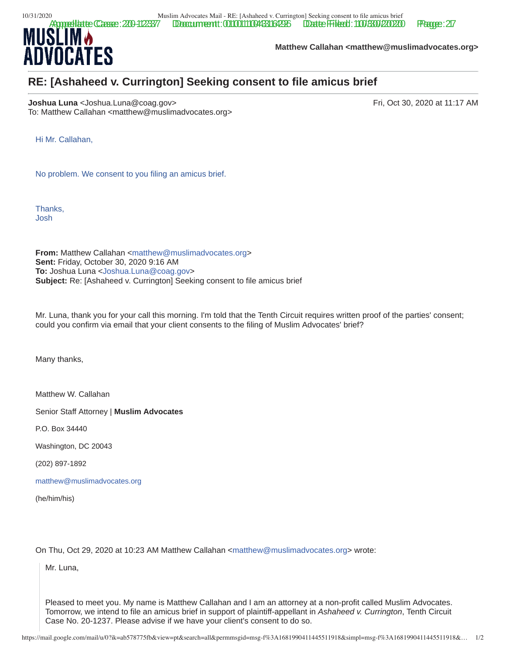

**Matthew Callahan <matthew@muslimadvocates.org>**

## **RE: [Ashaheed v. Currington] Seeking consent to file amicus brief**

**Joshua Luna** <Joshua.Luna@coag.gov> Fri, Oct 30, 2020 at 11:17 AM To: Matthew Callahan <matthew@muslimadvocates.org>

Hi Mr. Callahan,

No problem. We consent to you filing an amicus brief.

Thanks, Josh

**From:** Matthew Callahan <matthew@muslimadvocates.org> **Sent:** Friday, October 30, 2020 9:16 AM **To:** Joshua Luna <Joshua.Luna@coag.gov> **Subject:** Re: [Ashaheed v. Currington] Seeking consent to file amicus brief

Mr. Luna, thank you for your call this morning. I'm told that the Tenth Circuit requires written proof of the parties' consent; could you confirm via email that your client consents to the filing of Muslim Advocates' brief?

Many thanks,

Matthew W. Callahan

Senior Staff Attorney | **Muslim Advocates**

P.O. Box 34440

Washington, DC 20043

(202) 897-1892

matthew@muslimadvocates.org

(he/him/his)

On Thu, Oct 29, 2020 at 10:23 AM Matthew Callahan <matthew@muslimadvocates.org> wrote:

Mr. Luna,

Pleased to meet you. My name is Matthew Callahan and I am an attorney at a non-profit called Muslim Advocates. Tomorrow, we intend to file an amicus brief in support of plaintiff-appellant in *Ashaheed v. Currington*, Tenth Circuit Case No. 20-1237. Please advise if we have your client's consent to do so.